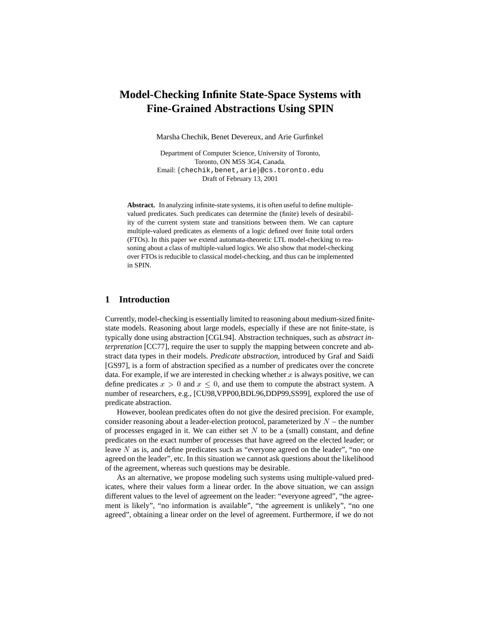# **Model-Checking Infinite State-Space Systems with Fine-Grained Abstractions Using SPIN**

Marsha Chechik, Benet Devereux, and Arie Gurfinkel

Department of Computer Science, University of Toronto, Toronto, ON M5S 3G4, Canada. Email: {chechik, benet, arie}@cs.toronto.edu Draft of February 13, 2001

**Abstract.** In analyzing infinite-state systems, it is often useful to define multiplevalued predicates. Such predicates can determine the (finite) levels of desirability of the current system state and transitions between them. We can capture multiple-valued predicates as elements of a logic defined over finite total orders (FTOs). In this paper we extend automata-theoretic LTL model-checking to reasoning about a class of multiple-valued logics. We also show that model-checking over FTOs is reducible to classical model-checking, and thus can be implemented in SPIN.

### **1 Introduction**

Currently, model-checking is essentially limited to reasoning about medium-sized finitestate models. Reasoning about large models, especially if these are not finite-state, is typically done using abstraction [CGL94]. Abstraction techniques, such as *abstract interpretation* [CC77], require the user to supply the mapping between concrete and abstract data types in their models. *Predicate abstraction*, introduced by Graf and Saidi [GS97], is a form of abstraction specified as a number of predicates over the concrete data. For example, if we are interested in checking whether  $x$  is always positive, we can define predicates  $x > 0$  and  $x \le 0$ , and use them to compute the abstract system. A number of researchers, e.g., [CU98,VPP00,BDL96,DDP99,SS99], explored the use of predicate abstraction.

However, boolean predicates often do not give the desired precision. For example, consider reasoning about a leader-election protocol, parameterized by  $N -$  the number of processes engaged in it. We can either set  $N$  to be a (small) constant, and define predicates on the exact number of processes that have agreed on the elected leader; or leave N as is, and define predicates such as "everyone agreed on the leader", "no one agreed on the leader", etc. In this situation we cannot ask questions about the likelihood of the agreement, whereas such questions may be desirable.

As an alternative, we propose modeling such systems using multiple-valued predicates, where their values form a linear order. In the above situation, we can assign different values to the level of agreement on the leader: "everyone agreed", "the agreement is likely", "no information is available", "the agreement is unlikely", "no one agreed", obtaining a linear order on the level of agreement. Furthermore, if we do not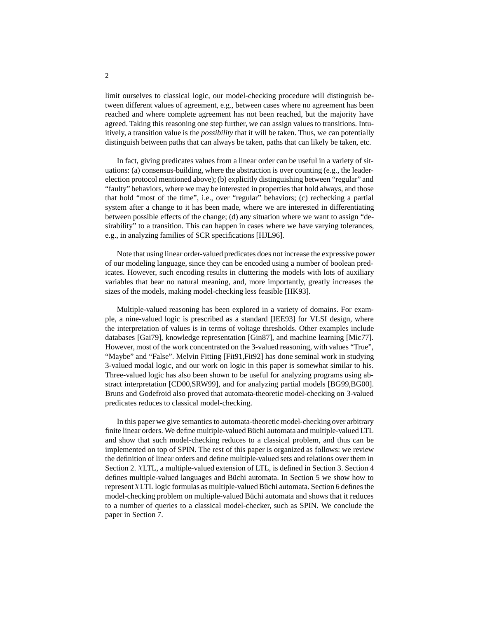limit ourselves to classical logic, our model-checking procedure will distinguish between different values of agreement, e.g., between cases where no agreement has been reached and where complete agreement has not been reached, but the majority have agreed. Taking this reasoning one step further, we can assign values to transitions. Intuitively, a transition value is the *possibility* that it will be taken. Thus, we can potentially distinguish between paths that can always be taken, paths that can likely be taken, etc.

In fact, giving predicates values from a linear order can be useful in a variety of situations: (a) consensus-building, where the abstraction is over counting (e.g., the leaderelection protocol mentioned above); (b) explicitly distinguishing between "regular" and "faulty" behaviors, where we may be interested in properties that hold always, and those that hold "most of the time", i.e., over "regular" behaviors; (c) rechecking a partial system after a change to it has been made, where we are interested in differentiating between possible effects of the change; (d) any situation where we want to assign "desirability" to a transition. This can happen in cases where we have varying tolerances, e.g., in analyzing families of SCR specifications [HJL96].

Note that using linear order-valued predicates does not increase the expressive power of our modeling language, since they can be encoded using a number of boolean predicates. However, such encoding results in cluttering the models with lots of auxiliary variables that bear no natural meaning, and, more importantly, greatly increases the sizes of the models, making model-checking less feasible [HK93].

Multiple-valued reasoning has been explored in a variety of domains. For example, a nine-valued logic is prescribed as a standard [IEE93] for VLSI design, where the interpretation of values is in terms of voltage thresholds. Other examples include databases [Gai79], knowledge representation [Gin87], and machine learning [Mic77]. However, most of the work concentrated on the 3-valued reasoning, with values "True", "Maybe" and "False". Melvin Fitting [Fit91,Fit92] has done seminal work in studying 3-valued modal logic, and our work on logic in this paper is somewhat similar to his. Three-valued logic has also been shown to be useful for analyzing programs using abstract interpretation [CD00,SRW99], and for analyzing partial models [BG99,BG00]. Bruns and Godefroid also proved that automata-theoretic model-checking on 3-valued predicates reduces to classical model-checking.

In this paper we give semantics to automata-theoretic model-checking over arbitrary finite linear orders. We define multiple-valued Büchi automata and multiple-valued LTL and show that such model-checking reduces to a classical problem, and thus can be implemented on top of SPIN. The rest of this paper is organized as follows: we review the definition of linear orders and define multiple-valued sets and relations over them in Section 2. XLTL, a multiple-valued extension of LTL, is defined in Section 3. Section 4 defines multiple-valued languages and Büchi automata. In Section 5 we show how to represent XLTL logic formulas as multiple-valued Büchi automata. Section 6 defines the model-checking problem on multiple-valued Büchi automata and shows that it reduces to a number of queries to a classical model-checker, such as SPIN. We conclude the paper in Section 7.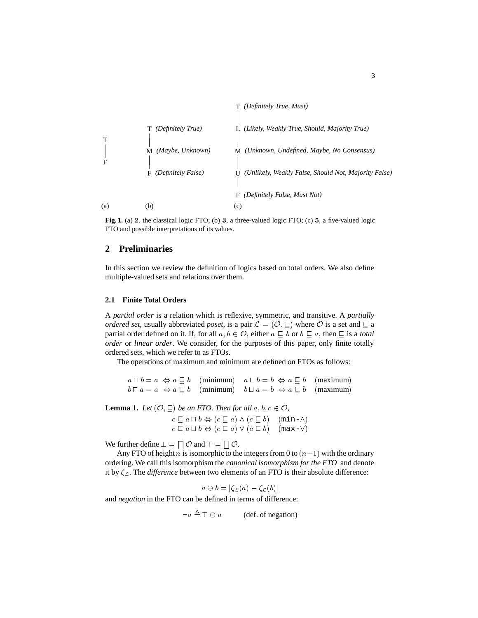

**Fig. 1.** (a) <sup>2</sup>, the classical logic FTO; (b) <sup>3</sup>, a three-valued logic FTO; (c) <sup>5</sup>, a five-valued logic FTO and possible interpretations of its values.

# **2 Preliminaries**

In this section we review the definition of logics based on total orders. We also define multiple-valued sets and relations over them.

#### **2.1 Finite Total Orders**

A *partial order* is a relation which is reflexive, symmetric, and transitive. A *partially ordered set*, usually abbreviated *poset*, is a pair  $\mathcal{L} = (\mathcal{O}, \sqsubseteq)$  where  $\mathcal O$  is a set and  $\sqsubseteq$  a partial order defined on it. If, for all  $a, b \in \mathcal{O}$ , either  $a \sqsubseteq b$  or  $b \sqsubseteq a$ , then  $\square$  is a *total order* or *linear order*. We consider, for the purposes of this paper, only finite totally ordered sets, which we refer to as FTOs.

The operations of maximum and minimum are defined on FTOs as follows:

 $a \sqcap b = a \Leftrightarrow a \sqsubseteq b$  (minimum)  $a \sqcup b = b \Leftrightarrow a \sqsubseteq b$  (maximum)  $b \sqcap a = a \Leftrightarrow a \sqsubset b$  (minimum)  $b \sqcup a = b \Leftrightarrow a \sqsubset b$  (maximum)

**Lemma 1.** *Let*  $(\mathcal{O}, \sqsubseteq)$  *be an FTO. Then for all*  $a, b, c \in \mathcal{O}$ *,* 

 $c \sqsubseteq a \sqcap b \Leftrightarrow (c \sqsubseteq a) \wedge (c \sqsubseteq b) \pmod{\min - \wedge}$  $c \sqsubseteq a \sqcup b \Leftrightarrow (c \sqsubseteq a) \vee (c \sqsubseteq b) \quad (\text{max-V})$ 

We further define  $\bot = \square \mathcal{O}$  and  $\top = \square \mathcal{O}$ .

Any FTO of height n is isomorphic to the integers from 0 to  $(n-1)$  with the ordinary ordering. We call this isomorphism the *canonical isomorphism for the FTO* and denote it by  $\zeta_c$ . The *difference* between two elements of an FTO is their absolute difference:

$$
a \ominus b = |\zeta_{\mathcal{L}}(a) - \zeta_{\mathcal{L}}(b)|
$$

and *negation* in the FTO can be defined in terms of difference:

$$
\neg a \triangleq \top \ominus a \qquad \text{(def. of negation)}
$$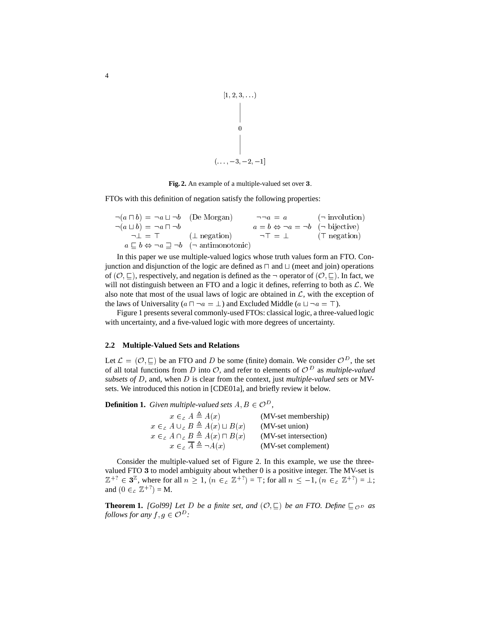$$
\begin{array}{c}\n[1, 2, 3, \ldots) \\
\Big\downarrow \\
0 \\
0 \\
\Big\downarrow \\
(\ldots, -3, -2, -1]\n\end{array}
$$

**Fig. 2.** An example of a multiple-valued set over <sup>3</sup>.

FTOs with this definition of negation satisfy the following properties:

| $\neg(a \sqcap b) = \neg a \sqcup \neg b$ (De Morgan) |                                                                                     | $\neg \neg a = a$ ( $\neg$ involution)                      |  |
|-------------------------------------------------------|-------------------------------------------------------------------------------------|-------------------------------------------------------------|--|
| $\neg(a \sqcup b) = \neg a \sqcap \neg b$             |                                                                                     | $a = b \Leftrightarrow \neg a = \neg b$ ( $\neg$ bijective) |  |
| $\neg \bot = \top$ ( $\bot$ negation)                 |                                                                                     | $\neg \top = \bot$ (T negation)                             |  |
|                                                       | $a \sqsubseteq b \Leftrightarrow \neg a \sqsupseteq \neg b$ ( $\neg$ antimonotonic) |                                                             |  |

In this paper we use multiple-valued logics whose truth values form an FTO. Conjunction and disjunction of the logic are defined as  $\sqcap$  and  $\sqcup$  (meet and join) operations of  $(0, \square)$ , respectively, and negation is defined as the  $\neg$  operator of  $(0, \square)$ . In fact, we will not distinguish between an FTO and a logic it defines, referring to both as  $\mathcal{L}$ . We also note that most of the usual laws of logic are obtained in  $\mathcal{L}$ , with the exception of the laws of Universality ( $a \sqcap \neg a = \bot$ ) and Excluded Middle ( $a \sqcup \neg a = \top$ ).

Figure 1 presents several commonly-used FTOs: classical logic, a three-valued logic with uncertainty, and a five-valued logic with more degrees of uncertainty.

#### **2.2 Multiple-Valued Sets and Relations**

Let  $\mathcal{L} = (\mathcal{O}, \sqsubseteq)$  be an FTO and D be some (finite) domain. We consider  $\mathcal{O}^D$ , the set of all total functions from D into  $\mathcal{O}$ , and refer to elements of  $\mathcal{O}^D$  as *multiple-valued subsets of* <sup>D</sup>, and, when <sup>D</sup> is clear from the context, just *multiple-valued sets* or MVsets. We introduced this notion in [CDE01a], and briefly review it below.

**Definition 1.** *Given multiple-valued sets*  $A, B \in \mathcal{O}^D$ ,

| $x \in_{c} A \triangleq A(x)$                           | (MV-set membership)   |
|---------------------------------------------------------|-----------------------|
| $x \in_{c} A \cup_{c} B \triangleq A(x) \sqcup B(x)$    | (MV-set union)        |
| $x \in A \cap B \triangleq A(x) \cap B(x)$              | (MV-set intersection) |
| $x \in_{\mathcal{L}} \overline{A} \triangleq \neg A(x)$ | (MV-set complement)   |

Consider the multiple-valued set of Figure 2. In this example, we use the threevalued FTO <sup>3</sup> to model ambiguity about whether 0 is a positive integer. The MV-set is  $\mathbb{Z}^+$ ?  $\in$  3<sup> $\mathbb{Z}$ </sup>, where for all  $n \geq 1$ ,  $(n \in_{\mathbb{Z}} \mathbb{Z}^+$ ?) =  $\top$ ; for all  $n \leq -1$ ,  $(n \in_{\mathbb{Z}} \mathbb{Z}^+$ ?) =  $\bot$ ; and  $(0 \in_{\mathcal{L}} \mathbb{Z}^{+?}) = M$ .

**Theorem 1.** *[Gol99] Let D be a finite set, and*  $(\mathcal{O}, \subseteq)$  *be an FTO. Define*  $\subseteq_{\mathcal{O}^D}$  *as follows for any*  $f, g \in \mathcal{O}^D$ :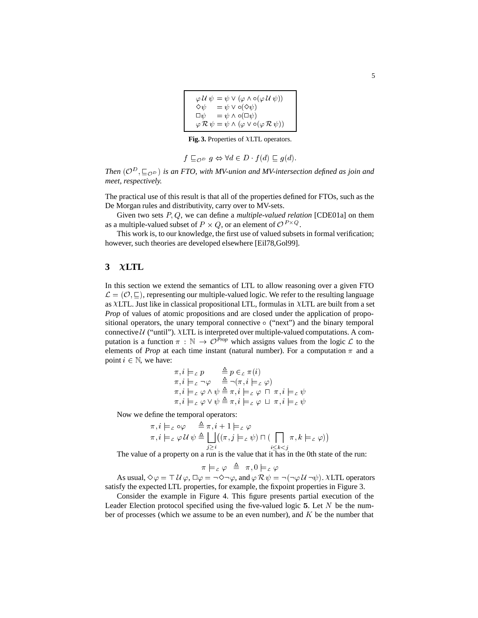| $\varphi \mathcal{U} \psi = \psi \vee (\varphi \wedge \circ (\varphi \mathcal{U} \psi))$ |  |
|------------------------------------------------------------------------------------------|--|
| $=\psi \vee \circ (\Diamond \psi)$<br>$\diamond\psi$                                     |  |
| $=\psi \wedge \circ (\Box \psi)$<br>$\Box\psi$                                           |  |
| $\varphi \mathcal{R} \psi = \psi \wedge (\varphi \vee \circ (\varphi \mathcal{R} \psi))$ |  |

Fig. 3. Properties of XLTL operators.

$$
f \sqsubseteq_{\mathcal{O}^D} g \Leftrightarrow \forall d \in D \quad f(d) \sqsubseteq g(d).
$$

Then  $(\mathcal{O}^{\mathcal{D}}, \subseteq_{\mathcal{O}^{\mathcal{D}}})$  is an FTO, with MV-union and MV-intersection defined as join and *meet, respectively.*

The practical use of this result is that all of the properties defined for FTOs, such as the De Morgan rules and distributivity, carry over to MV-sets.

Given two sets P; Q, we can define a *multiple-valued relation* [CDE01a] on them as a multiple-valued subset of  $P \times Q$ , or an element of  $\mathcal{O}^{P \times Q}$ .

This work is, to our knowledge, the first use of valued subsets in formal verification; however, such theories are developed elsewhere [Eil78,Gol99].

# **3 LTL**

In this section we extend the semantics of LTL to allow reasoning over a given FTO  $\mathcal{L} = (\mathcal{O}, \sqsubseteq)$ , representing our multiple-valued logic. We refer to the resulting language as  $XLTL$ . Just like in classical propositional LTL, formulas in  $XLTL$  are built from a set *Prop* of values of atomic propositions and are closed under the application of propositional operators, the unary temporal connective  $\circ$  ("next") and the binary temporal connective  $U$  ("until"). XLTL is interpreted over multiple-valued computations. A computation is a function  $\pi$ :  $\mathbb{N} \to \mathcal{O}^{Prop}$  which assigns values from the logic  $\mathcal{L}$  to the elements of *Prop* at each time instant (natural number). For a computation  $\pi$  and a point  $i \in \mathbb{N}$ , we have:

$$
\pi, i \models_c p \qquad \triangleq p \in_c \pi(i)
$$
\n
$$
\pi, i \models_c \neg \varphi \qquad \triangleq \neg (\pi, i \models_c \varphi)
$$
\n
$$
\pi, i \models_c \varphi \land \psi \triangleq \pi, i \models_c \varphi \sqcap \pi, i \models_c \psi
$$
\n
$$
\pi, i \models_c \varphi \lor \psi \triangleq \pi, i \models_c \varphi \sqcup \pi, i \models_c \psi
$$

Now we define the temporal operators:

$$
\pi, i \models_c \circ \varphi \quad \triangleq \pi, i+1 \models_c \varphi \n\pi, i \models_c \varphi \mathcal{U} \psi \triangleq \bigcup_{j \geq i} ((\pi, j \models_c \psi) \sqcap (\bigcap_{i \leq k < j} \pi, k \models_c \varphi))
$$

The value of a property on a run is the value that it has in the 0th state of the run:

 $\pi \models_{\mathcal{L}} \varphi \triangleq \pi, 0 \models_{\mathcal{L}} \varphi$ 

As usual,  $\Diamond \varphi = \top \mathcal{U} \varphi$ ,  $\Box \varphi = \neg \Diamond \neg \varphi$ , and  $\varphi \mathcal{R} \psi = \neg (\neg \varphi \mathcal{U} \neg \psi)$ . XLTL operators satisfy the expected LTL properties, for example, the fixpoint properties in Figure 3.

Consider the example in Figure 4. This figure presents partial execution of the Leader Election protocol specified using the five-valued logic  $5$ . Let  $N$  be the number of processes (which we assume to be an even number), and  $K$  be the number that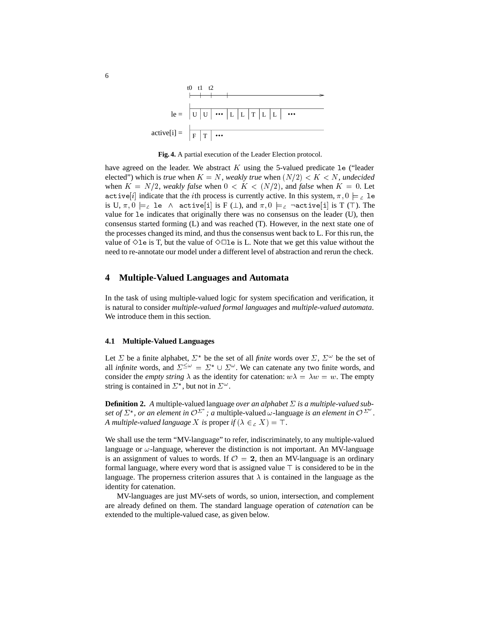

**Fig. 4.** A partial execution of the Leader Election protocol.

have agreed on the leader. We abstract  $K$  using the 5-valued predicate 1e ("leader elected") which is *true* when  $K = N$ , *weakly true* when  $(N/2) < K < N$ , *undecided* when  $K = N/2$ , *weakly false* when  $0 < K < (N/2)$ , and *false* when  $K = 0$ . Let active[i] indicate that the ith process is currently active. In this system,  $\pi, 0 \models_{\mathcal{L}}$  le is U,  $\pi$ ,  $0 \models_L 1$ e  $\land$  active[i] is F ( $\bot$ ), and  $\pi$ ,  $0 \models_L \neg$ active[i] is T (T). The value for le indicates that originally there was no consensus on the leader (U), then consensus started forming (L) and was reached (T). However, in the next state one of the processes changed its mind, and thus the consensus went back to L. For this run, the value of  $\Diamond$  le is T, but the value of  $\Diamond$   $\Box$  le is L. Note that we get this value without the need to re-annotate our model under a different level of abstraction and rerun the check.

#### **4 Multiple-Valued Languages and Automata**

In the task of using multiple-valued logic for system specification and verification, it is natural to consider *multiple-valued formal languages* and *multiple-valued automata*. We introduce them in this section.

#### **4.1 Multiple-Valued Languages**

Let  $\Sigma$  be a finite alphabet,  $\Sigma^*$  be the set of all *finite* words over  $\Sigma$ ,  $\Sigma^{\omega}$  be the set of all *infinite* words, and  $\Sigma^{\leq \omega} = \Sigma^* \cup \Sigma^{\omega}$ . We can catenate any two finite words, and consider the *empty string*  $\lambda$  as the identity for catenation:  $w\lambda = \lambda w = w$ . The empty string is contained in  $\Sigma^*$ , but not in  $\Sigma^{\omega}$ .

**Definition 2.** A multiple-valued language *over an alphabet*  $\Sigma$  is a multiple-valued sub*set of*  $\Sigma^*$ , *or an element in*  $\mathcal{O}^{\Sigma^*}$ ; *a* multiple-valued  $\omega$ -language *is an element in*  $\mathcal{O}^{\Sigma^*}$ . *A multiple-valued language X is proper if*  $(\lambda \in L X) = T$ .

We shall use the term "MV-language" to refer, indiscriminately, to any multiple-valued language or  $\omega$ -language, wherever the distinction is not important. An MV-language is an assignment of values to words. If  $\mathcal{O} = 2$ , then an MV-language is an ordinary formal language, where every word that is assigned value  $\top$  is considered to be in the language. The properness criterion assures that  $\lambda$  is contained in the language as the identity for catenation.

MV-languages are just MV-sets of words, so union, intersection, and complement are already defined on them. The standard language operation of *catenation* can be extended to the multiple-valued case, as given below.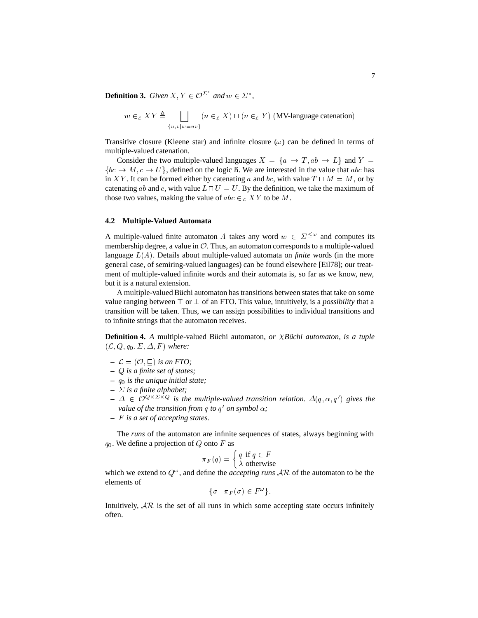**Definition 3.** Given  $X, Y \in \mathcal{O}^{\Sigma^*}$  and  $w \in \Sigma^*$ ,

$$
w \in_{\mathcal{L}} XY \triangleq \bigsqcup_{\{u,v|w=uv\}} (u \in_{\mathcal{L}} X) \sqcap (v \in_{\mathcal{L}} Y) \text{ (MV-language catenation)}
$$

Transitive closure (Kleene star) and infinite closure  $(\omega)$  can be defined in terms of multiple-valued catenation.

Consider the two multiple-valued languages  $X = \{a \rightarrow T, ab \rightarrow L\}$  and  $Y =$  ${bc \rightarrow M, c \rightarrow U}$ , defined on the logic 5. We are interested in the value that abc has in XY. It can be formed either by catenating a and bc, with value  $T \sqcap M = M$ , or by catenating ab and c, with value  $L \sqcap U = U$ . By the definition, we take the maximum of those two values, making the value of  $abc \in_{\mathcal{L}} XY$  to be M.

#### **4.2 Multiple-Valued Automata**

A multiple-valued finite automaton A takes any word  $w \in \Sigma^{\leq \omega}$  and computes its membership degree, a value in  $\mathcal{O}$ . Thus, an automaton corresponds to a multiple-valued language L(A). Details about multiple-valued automata on *finite* words (in the more general case, of semiring-valued languages) can be found elsewhere [Eil78]; our treatment of multiple-valued infinite words and their automata is, so far as we know, new, but it is a natural extension.

A multiple-valued Büchi automaton has transitions between states that take on some value ranging between  $\top$  or  $\bot$  of an FTO. This value, intuitively, is a *possibility* that a transition will be taken. Thus, we can assign possibilities to individual transitions and to infinite strings that the automaton receives.

**Definition 4.** *A* multiple-valued Büchi automaton, or *XBüchi automaton, is a tuple*  $(\mathcal{L}, Q, q_0, \Sigma, \Delta, F)$  *where:* 

- $\mathcal{L} = (\mathcal{O}, \square)$  *is an FTO*;
- **–** Q *is a finite set of states;*
- **–** q0 *is the unique initial state;*
- $\overline{\phantom{a}}$   $\sum$  *is a finite alphabet;*
- $\Delta \in \mathcal{O}^{Q \times \Sigma \times Q}$  is the multiple-valued transition relation.  $\Delta(q, \alpha, q')$  gives the *value of the transition from q to*  $q'$  *on symbol*  $\alpha$ *;*
- **–** F *is a set of accepting states.*

The *runs* of the automaton are infinite sequences of states, always beginning with  $q_0$ . We define a projection of Q onto F as

$$
\pi_F(q) = \begin{cases} q \text{ if } q \in F \\ \lambda \text{ otherwise} \end{cases}
$$

which we extend to  $Q^{\omega}$ , and define the *accepting runs*  $AR$  of the automaton to be the elements of

$$
\{\sigma \mid \pi_F(\sigma) \in F^{\omega}\}.
$$

Intuitively,  $AR$  is the set of all runs in which some accepting state occurs infinitely often.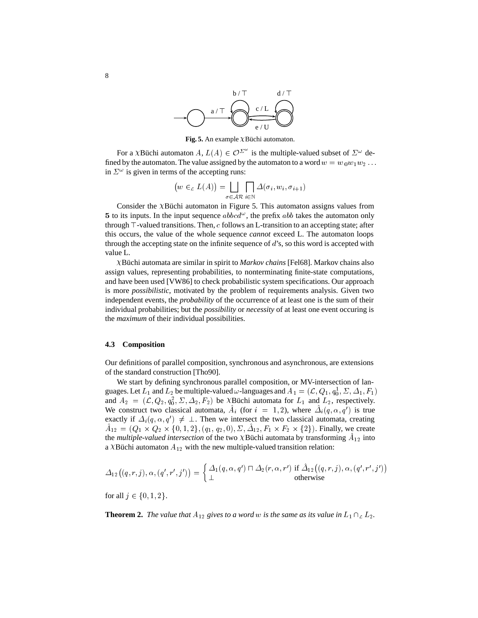

**Fig. 5.** An example  $\chi$ Büchi automaton.

For a XBüchi automaton  $A, L(A) \in \mathcal{O}^{\Sigma^{\infty}}$  is the multiple-valued subset of  $\Sigma^{\omega}$  defined by the automaton. The value assigned by the automaton to a word  $w = w_0w_1w_2 \ldots$ in  $\Sigma^{\omega}$  is given in terms of the accepting runs:

$$
(w \in L(A)) = \bigsqcup_{\sigma \in AR} \bigcap_{i \in \mathbb{N}} \Delta(\sigma_i, w_i, \sigma_{i+1})
$$

Consider the  $\chi$ Büchi automaton in Figure 5. This automaton assigns values from 5 to its inputs. In the input sequence  $abbcd^{\omega}$ , the prefix  $abb$  takes the automaton only through  $\top$ -valued transitions. Then,  $c$  follows an L-transition to an accepting state; after this occurs, the value of the whole sequence *cannot* exceed L. The automaton loops through the accepting state on the infinite sequence of  $d$ 's, so this word is accepted with value L.

B¨uchi automata are similar in spirit to *Markov chains* [Fel68]. Markov chains also assign values, representing probabilities, to nonterminating finite-state computations, and have been used [VW86] to check probabilistic system specifications. Our approach is more *possibilistic*, motivated by the problem of requirements analysis. Given two independent events, the *probability* of the occurrence of at least one is the sum of their individual probabilities; but the *possibility* or *necessity* of at least one event occuring is the *maximum* of their individual possibilities.

#### **4.3 Composition**

Our definitions of parallel composition, synchronous and asynchronous, are extensions of the standard construction [Tho90].

We start by defining synchronous parallel composition, or MV-intersection of languages. Let  $L_1$  and  $L_2$  be multiple-valued  $\omega$ -languages and  $A_1 = (\mathcal{L}, Q_1, q_0^1, \Sigma, \Delta_1, F_1)$ and  $A_2 = (\mathcal{L}, Q_2, q_0^2, \Sigma, \Delta_2, F_2)$  be XBüchi automata for  $L_1$  and  $L_2$ , respectively. We construct two classical automata,  $\tilde{A}_i$  (for  $i = 1, 2$ ), where  $\tilde{A}_i(q, \alpha, q')$  is true exactly if  $\Delta_i(q, \alpha, q') \neq \perp$ . Then we intersect the two classical automata, creating  $A_{12} = (Q_1 \times Q_2 \times \{0, 1, 2\}, (q_1, q_2, 0), \Sigma, \Delta_{12}, F_1 \times F_2 \times \{2\})$ . Finally, we create the *multiple-valued intersection* of the two XBüchi automata by transforming  $A_{12}$  into a XBüchi automaton  $A_{12}$  with the new multiple-valued transition relation:

$$
\varDelta_{12}\big((q,r,j),\alpha,(q',r',j')\big)=\left\{\frac{\varDelta_1(q,\alpha,q')\sqcap\varDelta_2(r,\alpha,r')\text{ if }\hat{\varDelta}_{12}\big((q,r,j),\alpha,(q',r',j')\big)\\\text{ otherwise}\\\text{otherwise}\right.
$$

for all  $j \in \{0, 1, 2\}.$ 

**Theorem 2.** *The value that*  $A_{12}$  *gives to a word w is the same as its value in*  $L_1 \cap_L L_2$ *.*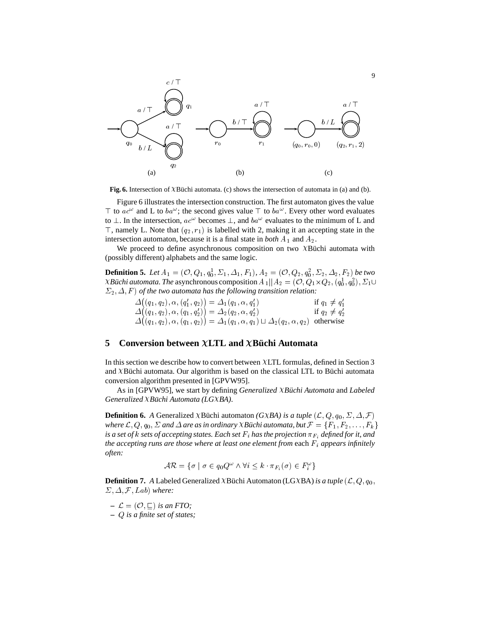

**Fig. 6.** Intersection of XBüchi automata. (c) shows the intersection of automata in (a) and (b).

Figure 6 illustrates the intersection construction. The first automaton gives the value T to  $ac^{\omega}$  and L to  $ba^{\omega}$ ; the second gives value T to  $ba^{\omega}$ . Every other word evaluates to  $\perp$ . In the intersection,  $ac^{\omega}$  becomes  $\perp$ , and  $ba^{\omega}$  evaluates to the minimum of L and  $\top$ , namely L. Note that  $(q_2, r_1)$  is labelled with 2, making it an accepting state in the intersection automaton, because it is a final state in *both*  $A_1$  and  $A_2$ .

We proceed to define asynchronous composition on two  $\chi$ Büchi automata with (possibly different) alphabets and the same logic.

**Definition 5.** Let  $A_1 = (\mathcal{O}, Q_1, q_0^1, \Sigma_1, \Delta_1, F_1)$ ,  $A_2 = (\mathcal{O}, Q_2, q_0^2, \Sigma_2, \Delta_2, F_2)$  be two XBüchi automata. The asynchronous composition  $A_1{||}A_2=(\mathcal{O},Q_1{\times}Q_2,(q_0^1,q_0^2),\Sigma_1\cup$  $(\Sigma_2, \Delta, F)$  *of the two automata has the following transition relation:* 

$$
\begin{array}{ll}\n\Delta((q_1, q_2), \alpha, (q'_1, q_2)) = \Delta_1(q_1, \alpha, q'_1) & \text{if } q_1 \neq q'_1 \\
\Delta((q_1, q_2), \alpha, (q_1, q'_2)) = \Delta_2(q_2, \alpha, q'_2) & \text{if } q_2 \neq q'_2 \\
\Delta((q_1, q_2), \alpha, (q_1, q_2)) = \Delta_1(q_1, \alpha, q_1) \sqcup \Delta_2(q_2, \alpha, q_2) & \text{otherwise}\n\end{array}
$$

# **5** Conversion between  $\chi$ LTL and  $\chi$ Büchi Automata

In this section we describe how to convert between LTL formulas, defined in Section 3 and  $\lambda$ Büchi automata. Our algorithm is based on the classical LTL to Büchi automata conversion algorithm presented in [GPVW95].

As in [GPVW95], we start by defining *Generalized XBüchi Automata* and *Labeled Generalized XBüchi Automata (LGXBA).* 

**Definition 6.** *A* Generalized  $\chi$ Büchi automaton *(G* $\chi$ *BA) is a tuple*  $(L, Q, q_0, \Sigma, \Delta, \mathcal{F})$ *where*  $\mathcal{L}, Q, q_0, \Sigma$  and  $\Delta$  are as in ordinary *XBüchi automata, but*  $\mathcal{F} = \{F_1, F_2, \ldots, F_k\}$ is a set of  $k$  sets of accepting states. Each set  $F_i$  has the projection  $\pi_{F_i}$  defined for it, and *the accepting runs are those where at least one element from each F<sub>i</sub> <i>appears infinitely often:*

$$
\mathcal{AR} = \{ \sigma \mid \sigma \in q_0 Q^{\omega} \land \forall i \leq k \cdot \pi_{F_i}(\sigma) \in F_i^{\omega} \}
$$

**Definition 7.** *A* Labeled Generalized  $\lambda$ Büchi Automaton (LG $\lambda$ BA) *is a tuple* ( $\mathcal{L}, Q, q_0$ ,  $\Sigma$ ,  $\Delta$ ,  $\mathcal{F}$ , Lab) where:

- $\mathcal{L} = (\mathcal{O}, \sqsubseteq)$  *is an FTO;*
- **–** <sup>Q</sup> *is a finite set of states;*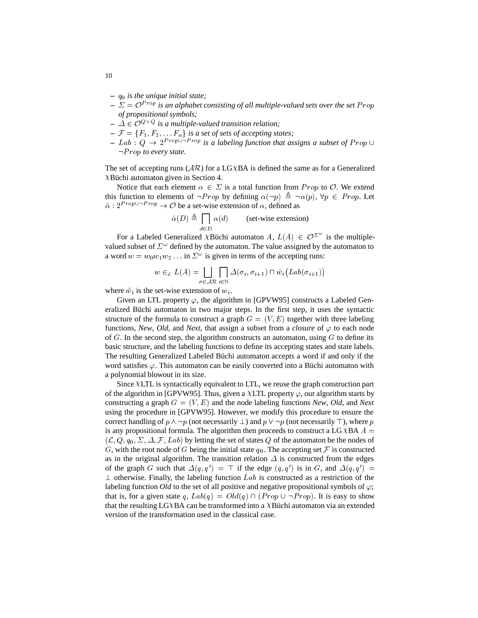- **–** q0 *is the unique initial state;*
- $\mathcal{L} = \mathcal{D}^{Prop}$  *is an alphabet consisting of all multiple-valued sets over the set Prop of propositional symbols;*
- $\varDelta \in \mathcal{O}^{Q \times Q}$  is a multiple-valued transition relation;
- $\mathcal{F} = \{F_1, F_2, \dots, F_n\}$  *is a set of sets of accepting states;*
- $I = Lab : Q \rightarrow 2^{Prop \cup -Prop}$  *is a labeling function that assigns a subset of Prop*  $\cup$  $\neg Prop$  *to every state.*

The set of accepting runs  $(\mathcal{A}\mathcal{R})$  for a LGXBA is defined the same as for a Generalized  $X$ Büchi automaton given in Section 4.

Notice that each element  $\alpha \in \Sigma$  is a total function from Prop to  $\mathcal{O}$ . We extend this function to elements of  $\neg Prop$  by defining  $\alpha(\neg p) \triangleq \neg \alpha(p)$ ,  $\forall p \in Prop$ . Let  $\hat{\alpha}$  :  $2^{Prop \cup \neg Prop} \rightarrow \mathcal{O}$  be a set-wise extension of  $\alpha$ , defined as

$$
\hat{\alpha}(D) \triangleq \prod_{d \in D} \alpha(d) \qquad \text{(set-wise extension)}
$$

For a Labeled Generalized XBüchi automaton A,  $L(A) \in \mathcal{O}^{\Sigma^{\omega}}$  is the multiplevalued subset of  $\Sigma^{\omega}$  defined by the automaton. The value assigned by the automaton to a word  $w = w_0 w_1 w_2 \dots$  in  $\Sigma^{\omega}$  is given in terms of the accepting runs:

$$
w \in L(A) = \bigsqcup_{\sigma \in \mathcal{AR}} \bigcap_{i \in \mathbb{N}} \Delta(\sigma_i, \sigma_{i+1}) \sqcap \hat{w}_i \big( \text{Lab}(\sigma_{i+1}) \big)
$$

where  $\hat{w}_i$  is the set-wise extension of  $w_i$ .

Given an LTL property  $\varphi$ , the algorithm in [GPVW95] constructs a Labeled Generalized Büchi automaton in two major steps. In the first step, it uses the syntactic structure of the formula to construct a graph  $G = (V, E)$  together with three labeling functions, *New*, *Old*, and *Next*, that assign a subset from a *closure* of  $\varphi$  to each node of G. In the second step, the algorithm constructs an automaton, using  $G$  to define its basic structure, and the labeling functions to define its accepting states and state labels. The resulting Generalized Labeled Büchi automaton accepts a word if and only if the word satisfies  $\varphi$ . This automaton can be easily converted into a Büchi automaton with a polynomial blowout in its size.

Since  $XLTL$  is syntactically equivalent to  $LTL$ , we reuse the graph construction part of the algorithm in [GPVW95]. Thus, given a XLTL property  $\varphi$ , our algorithm starts by constructing a graph  $G = (V, E)$  and the node labeling functions *New, Old*, and *Next* using the procedure in [GPVW95]. However, we modify this procedure to ensure the correct handling of  $p \land \neg p$  (not necessarily  $\bot$ ) and  $p \lor \neg p$  (not necessarily  $\top$ ), where p is any propositional formula. The algorithm then proceeds to construct a LG  $XBA A$  =  $(\mathcal{L}, Q, q_0, \Sigma, \Delta, \mathcal{F}, Lab)$  by letting the set of states Q of the automaton be the nodes of G, with the root node of G being the initial state  $q_0$ . The accepting set F is constructed as in the original algorithm. The transition relation  $\Delta$  is constructed from the edges of the graph G such that  $\Delta(q, q') = \top$  if the edge  $(q, q')$  is in G, and  $\Delta(q, q') =$  $\perp$  otherwise. Finally, the labeling function Lab is constructed as a restriction of the labeling function *Old* to the set of all positive and negative propositional symbols of  $\varphi$ ; that is, for a given state q,  $Lab(q) = Old(q) \cap (Prop \cup \neg Prop)$ . It is easy to show that the resulting LG $XBA$  can be transformed into a  $XB$  uchi automaton via an extended version of the transformation used in the classical case.

10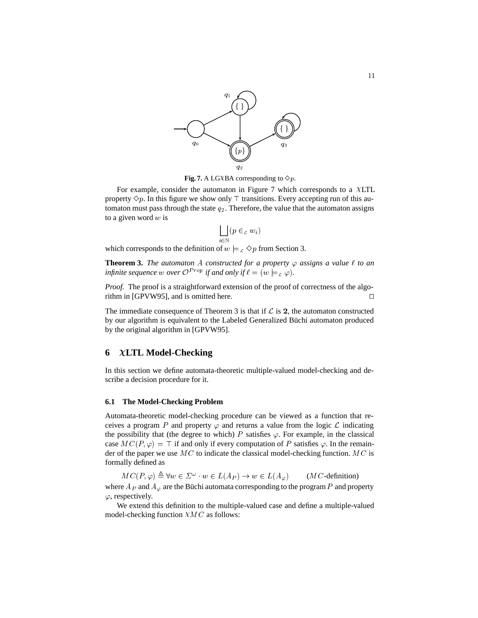

**Fig. 7.** A LGXBA corresponding to  $\diamond p$ .

For example, consider the automaton in Figure 7 which corresponds to a  $XLTL$ property  $\Diamond p$ . In this figure we show only  $\top$  transitions. Every accepting run of this automaton must pass through the state  $q_2$ . Therefore, the value that the automaton assigns to a given word  $w$  is

$$
\bigsqcup_{i\in\mathbb{N}}(p\in_{c}w_{i})
$$

which corresponds to the definition of  $w \models_{\mathcal{L}} \Diamond p$  from Section 3.

**Theorem 3.** *The automaton* A *constructed for a property*  $\varphi$  *assigns a value*  $\ell$  *to an infinite sequence* w *over*  $\mathcal{O}^{Prop}$  *if and only if*  $\ell = (w \models_{\mathcal{L}} \varphi)$ *.* 

*Proof.* The proof is a straightforward extension of the proof of correctness of the algorithm in [GPVW95], and is omitted here.  $\Box$ 

The immediate consequence of Theorem 3 is that if  $\mathcal L$  is 2, the automaton constructed by our algorithm is equivalent to the Labeled Generalized Büchi automaton produced by the original algorithm in [GPVW95].

# **6 LTL Model-Checking**

In this section we define automata-theoretic multiple-valued model-checking and describe a decision procedure for it.

#### **6.1 The Model-Checking Problem**

Automata-theoretic model-checking procedure can be viewed as a function that receives a program P and property  $\varphi$  and returns a value from the logic L indicating the possibility that (the degree to which) P satisfies  $\varphi$ . For example, in the classical case  $MC(P, \varphi) = \top$  if and only if every computation of P satisfies  $\varphi$ . In the remainder of the paper we use  $MC$  to indicate the classical model-checking function. MC is formally defined as

 $MC(P,\varphi) \triangleq \forall w \in \varSigma^{\omega} \cdot w \in L(A_P) \rightarrow w \in L(A_{\varphi})$  (*MC*-definition) where  $A_P$  and  $A_\varphi$  are the Büchi automata corresponding to the program P and property  $\varphi$ , respectively.

We extend this definition to the multiple-valued case and define a multiple-valued model-checking function  $XMC$  as follows: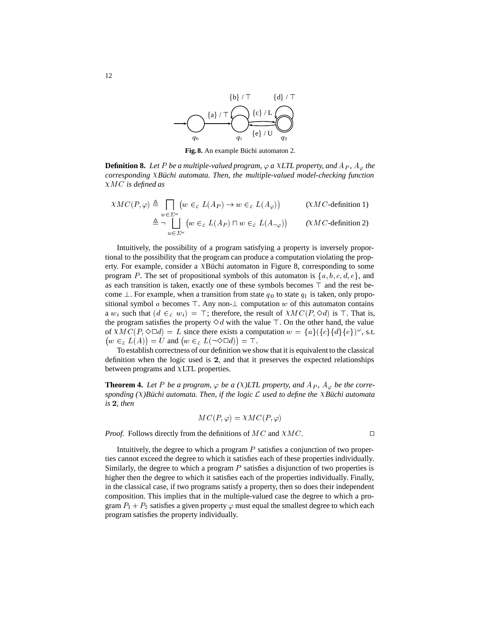

Fig. 8. An example Büchi automaton 2.

**Definition 8.** Let P be a multiple-valued program,  $\varphi$  a XLTL property, and  $A_P$ ,  $A_{\varphi}$  the *corresponding XBüchi automata. Then, the multiple-valued model-checking function* MC *is defined as*

$$
\chi MC(P,\varphi) \triangleq \bigcap_{w \in \Sigma^{\omega}} (w \in_{\mathcal{L}} L(A_P) \to w \in_{\mathcal{L}} L(A_{\varphi})) \qquad (\chi MC \text{-definition 1})
$$
  

$$
\triangleq \neg \bigcup_{w \in \Sigma^{\omega}} (w \in_{\mathcal{L}} L(A_P) \sqcap w \in_{\mathcal{L}} L(A_{\neg \varphi})) \qquad (\chi MC \text{-definition 2})
$$

Intuitively, the possibility of a program satisfying a property is inversely proportional to the possibility that the program can produce a computation violating the property. For example, consider a  $\chi$ Büchi automaton in Figure 8, corresponding to some program P. The set of propositional symbols of this automaton is  $\{a, b, c, d, e\}$ , and as each transition is taken, exactly one of these symbols becomes  $\top$  and the rest become  $\perp$ . For example, when a transition from state  $q_0$  to state  $q_1$  is taken, only propositional symbol  $a$  becomes  $\top$ . Any non- $\bot$  computation  $w$  of this automaton contains a  $w_i$  such that  $(d \in_{\mathcal{L}} w_i ) = \top$ ; therefore, the result of  $\chi M C(P, \Diamond d)$  is  $\top$ . That is, the program satisfies the property  $\Diamond d$  with the value  $\top$ . On the other hand, the value of  $\chi M C(P, \Diamond \Box d) = L$  since there exists a computation  $w = \{a\} (\{c\} \{d\} \{e\})^{\omega}$ , s.t.  $(w \in L(A)) = U$  and  $(w \in L(\neg \Diamond \Box d)) = \top$ .

To establish correctness of our definition we show that it is equivalent to the classical definition when the logic used is <sup>2</sup>, and that it preserves the expected relationships between programs and  $XLTL$  properties.

**Theorem 4.** Let P be a program,  $\varphi$  be a ( $\chi$ )LTL property, and  $A_P$ ,  $A_{\varphi}$  be the corresponding  $(X)$ Büchi automata. Then, if the logic  $\mathcal L$  used to define the *XBüchi automata is* <sup>2</sup>*, then*

$$
MC(P,\varphi) = \chi MC(P,\varphi)
$$

*Proof.* Follows directly from the definitions of  $MC$  and  $XMC$ .

Intuitively, the degree to which a program  $P$  satisfies a conjunction of two properties cannot exceed the degree to which it satisfies each of these properties individually. Similarly, the degree to which a program  $P$  satisfies a disjunction of two properties is higher then the degree to which it satisfies each of the properties individually. Finally, in the classical case, if two programs satisfy a property, then so does their independent composition. This implies that in the multiple-valued case the degree to which a program  $P_1 + P_2$  satisfies a given property  $\varphi$  must equal the smallest degree to which each program satisfies the property individually.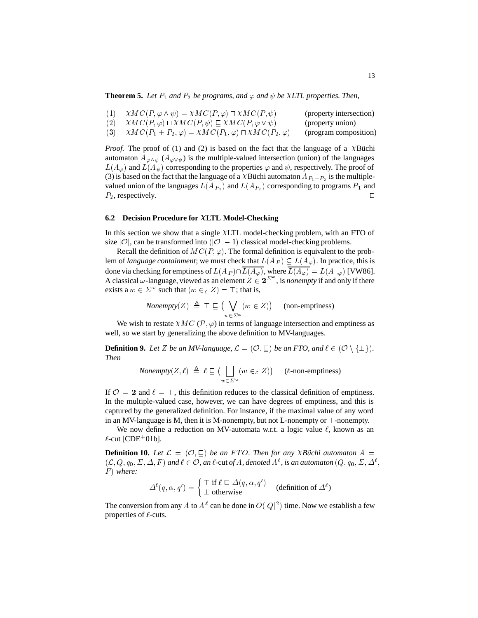**Theorem 5.** Let  $P_1$  and  $P_2$  be programs, and  $\varphi$  and  $\psi$  be XLTL properties. Then,

| $\chi MC(P, \varphi \wedge \psi) = \chi MC(P, \varphi) \sqcap \chi MC(P, \psi)$             | (property intersection) |
|---------------------------------------------------------------------------------------------|-------------------------|
| (2) $\chi M C(P,\varphi) \sqcup \chi M C(P,\psi) \sqsubseteq \chi M C(P,\varphi \vee \psi)$ | (property union)        |
| (3) $\chi M C(P_1 + P_2, \varphi) = \chi M C(P_1, \varphi) \sqcap \chi M C(P_2, \varphi)$   | (program composition)   |

*Proof.* The proof of (1) and (2) is based on the fact that the language of a  $X$ Büchi automaton  $A_{\varphi \wedge \psi}$  ( $A_{\varphi \vee \psi}$ ) is the multiple-valued intersection (union) of the languages  $L(A_{\varphi})$  and  $L(A_{\psi})$  corresponding to the properties  $\varphi$  and  $\psi$ , respectively. The proof of (3) is based on the fact that the language of a XBüchi automaton  $A_{P_1+P_2}$  is the multiplevalued union of the languages  $L(A_{P_1})$  and  $L(A_{P_2})$  corresponding to programs  $P_1$  and  $P_2$ , respectively.

#### **6.2 Decision Procedure for LTL Model-Checking**

In this section we show that a single XLTL model-checking problem, with an FTO of size  $|O|$ , can be transformed into  $(|O|-1)$  classical model-checking problems.

Recall the definition of  $MC(P, \varphi)$ . The formal definition is equivalent to the problem of *language containment*; we must check that  $L(A_P) \subseteq L(A_\varphi)$ . In practice, this is done via checking for emptiness of  $L(A_P) \cap \overline{L(A_{\varphi})}$ , where  $\overline{L(A_{\varphi})} = L(A_{\neg \varphi})$  [VW86]. A classical  $\omega$ -language, viewed as an element  $Z \in 2^{\sum_{\omega}}$ , is *nonempty* if and only if there exists a  $w \in \Sigma^{\omega}$  such that  $(w \in \Sigma Z) = \top$ ; that is,

*Nonempty*(Z) 
$$
\triangleq \top \sqsubseteq (\bigvee_{w \in \Sigma^{\omega}} (w \in Z))
$$
 (non-emptions)

We wish to restate  $XMC$  (P,  $\varphi$ ) in terms of language intersection and emptiness as well, so we start by generalizing the above definition to MV-languages.

**Definition 9.** Let Z be an MV-language,  $\mathcal{L} = (\mathcal{O}, \sqsubset)$  be an FTO, and  $\ell \in (\mathcal{O} \setminus \{\perp\})$ . *Then*

*Nonempty*
$$
(Z, \ell) \triangleq \ell \sqsubseteq (\bigsqcup_{w \in \Sigma^{\omega}} (w \in Z))
$$
 ( $\ell$ -non-emptions)

If  $\mathcal{O} = 2$  and  $\ell = \top$ , this definition reduces to the classical definition of emptiness. In the multiple-valued case, however, we can have degrees of emptiness, and this is captured by the generalized definition. For instance, if the maximal value of any word in an MV-language is M, then it is M-nonempty, but not L-nonempty or  $\top$ -nonempty.

We now define a reduction on MV-automata w.r.t. a logic value  $\ell$ , known as an  $\ell$ -cut [CDE<sup>+</sup>01b].

**Definition 10.** Let  $\mathcal{L} = (\mathcal{O}, \mathbb{C})$  be an FTO. Then for any *XBuchi automaton*  $A =$  $(L, Q, q_0, \Sigma, \Delta, F)$  and  $\ell \in \mathcal{O}$ , an  $\ell$ -cut of  $A$ , denoted  $A^{\ell}$ , is an automaton  $(Q, q_0, \Sigma, \Delta^{\ell},$ ; F ) *where:*

$$
\Delta^{\ell}(q,\alpha,q') = \begin{cases} \top \text{ if } \ell \sqsubseteq \Delta(q,\alpha,q') \\ \bot \text{ otherwise} \end{cases} \text{ (definition of } \Delta^{\ell})
$$

The conversion from any A to  $A^{\ell}$  can be done in  $O(|Q|^2)$  time. Now we establish a few properties of  $\ell$ -cuts.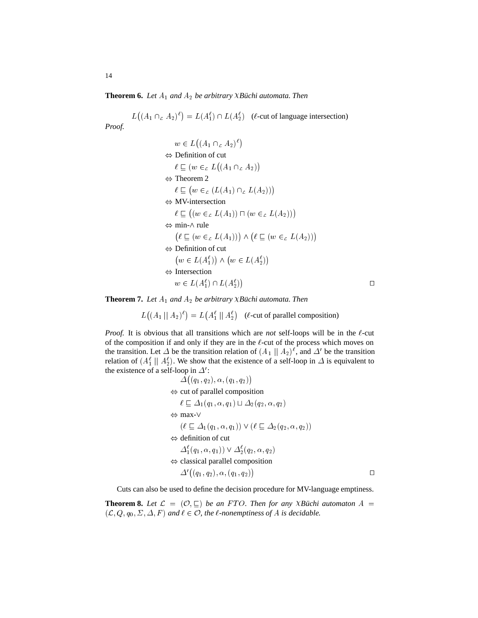**Theorem 6.** Let  $A_1$  and  $A_2$  be arbitrary *XBüchi automata. Then* 

L  $((A_1 \cap_{\mathcal{L}} A_2)^{\ell}) = L(A_1^{\ell}) \cap L(A_2^{\ell})$  (*l*-cut of language intersection)

*Proof.*

$$
w \in L((A_1 \cap_{\mathcal{L}} A_2)^{\ell})
$$
  
\n
$$
\Leftrightarrow
$$
 Definition of cut  
\n
$$
\ell \sqsubseteq (w \in_{\mathcal{L}} L((A_1 \cap_{\mathcal{L}} A_2))
$$
  
\n
$$
\Leftrightarrow
$$
 Theorem 2  
\n
$$
\ell \sqsubseteq (w \in_{\mathcal{L}} (L(A_1) \cap_{\mathcal{L}} L(A_2)))
$$
  
\n
$$
\Leftrightarrow
$$
 MV-intersection  
\n
$$
\ell \sqsubseteq ((w \in_{\mathcal{L}} L(A_1)) \cap (w \in_{\mathcal{L}} L(A_2)))
$$
  
\n
$$
\Leftrightarrow
$$
 min- $\wedge$  rule  
\n
$$
(\ell \sqsubseteq (w \in_{\mathcal{L}} L(A_1))) \wedge (\ell \sqsubseteq (w \in_{\mathcal{L}} L(A_2)))
$$
  
\n
$$
\Leftrightarrow
$$
 Definition of cut  
\n
$$
(w \in L(A_1^{\ell})) \wedge (w \in L(A_2^{\ell}))
$$
  
\n
$$
\Leftrightarrow
$$
 Intersection  
\n
$$
w \in L(A_1^{\ell}) \cap L(A_2^{\ell})
$$

**Theorem 7.** Let  $A_1$  and  $A_2$  be arbitrary *XBüchi automata. Then* 

. . . . . *. .*  $((A_1 \parallel A_2)^{\ell}) = L(A_1^{\ell} \parallel A_2^{\ell})$  (*l*-cut of parallel composition)

*Proof.* It is obvious that all transitions which are *not* self-loops will be in the  $\ell$ -cut of the composition if and only if they are in the  $\ell$ -cut of the process which moves on the transition. Let  $\Delta$  be the transition relation of  $(A_1 \mid A_2)^{\ell}$ , and  $\Delta'$  be the transition relation of  $(A_1^{\ell} \parallel A_2^{\ell})$ . We show that the existence of a self-loop in  $\Delta$  is equivalent to the existence of a self-loop in  $\Delta'$ :

$$
\Delta((q_1, q_2), \alpha, (q_1, q_2))
$$
\n
$$
\Leftrightarrow \text{cut of parallel composition}
$$
\n
$$
\ell \subseteq \Delta_1(q_1, \alpha, q_1) \sqcup \Delta_2(q_2, \alpha, q_2)
$$
\n
$$
\Leftrightarrow \max \neg \vee
$$
\n
$$
(\ell \subseteq \Delta_1(q_1, \alpha, q_1)) \lor (\ell \subseteq \Delta_2(q_2, \alpha, q_2))
$$
\n
$$
\Leftrightarrow \text{definition of cut}
$$
\n
$$
\Delta_1^{\ell}(q_1, \alpha, q_1)) \lor \Delta_2^{\ell}(q_2, \alpha, q_2)
$$
\n
$$
\Leftrightarrow \text{classical parallel composition}
$$
\n
$$
\Delta'((q_1, q_2), \alpha, (q_1, q_2)) \square
$$

Cuts can also be used to define the decision procedure for MV-language emptiness.

**Theorem 8.** Let  $\mathcal{L} = (\mathcal{O}, \sqsubseteq)$  be an FTO. Then for any *XBuchi automaton*  $A =$  $(\mathcal{L}, Q, q_0, \Sigma, \Delta, F)$  and  $\ell \in \mathcal{O}$ , the  $\ell$ -nonemptiness of A is decidable.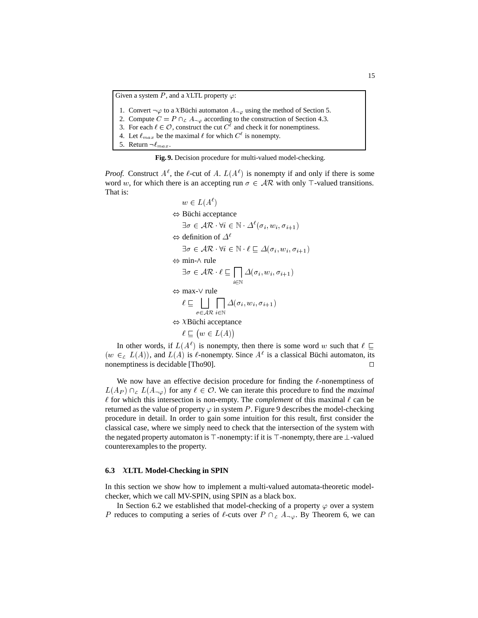Given a system P, and a XLTL property  $\varphi$ :

1. Convert  $\neg \varphi$  to a XBüchi automaton  $A_{\neg \varphi}$  using the method of Section 5.

2. Compute  $C = P \cap_{\mathcal{L}} A_{\neg \varphi}$  according to the construction of Section 4.3. 1. Convert ¬ $\varphi$  to a XBüchi automaton  $A_{\neg \varphi}$  using the method of Section 2. Compute  $C = P \cap_{\mathcal{L}} A_{\neg \varphi}$  according to the construction of Section 4 3. For each  $\ell \in \mathcal{O}$ , construct the cut  $C^{\ell}$  and check it

4. Let  $\ell_{max}$  be the maximal  $\ell$  for which  $C^{\ell}$  is nonempty.

5. Return  $\neg \ell_{max}$ .

**Fig. 9.** Decision procedure for multi-valued model-checking.

*Proof.* Construct  $A^{\ell}$ , the  $\ell$ -cut of A.  $L(A^{\ell})$  is nonempty if and only if there is some word w, for which there is an accepting run  $\sigma \in AR$  with only  $\top$ -valued transitions. That is:

> $w \in L(A^{\ell})$  $\Leftrightarrow$  Büchi acceptance  $\exists \sigma \in \mathcal{AR} \cdot \forall i \in \mathbb{N} \cdot \Delta^{\ell}(\sigma_i, w_i, \sigma_{i+1})$  $\Leftrightarrow$  definition of  $\Delta^{\ell}$  $\exists \sigma \in \mathcal{AR} \cdot \forall i \in \mathbb{N} \cdot \ell \sqsubseteq \Delta(\sigma_i, w_i, \sigma_{i+1})$  $\Leftrightarrow$  min- $\wedge$  rule  $\exists \sigma \in \mathcal{AR} \cdot \ell \sqsubset \prod \Delta(\sigma_i, w_i, \sigma_{i+1})$ i2n and in the second contract of the second contract of the second contract of the second contract of the second contract of the second contract of the second contract of the second contract of the second contract of the  $\sim$   $\cdot$   $\cdot$   $\cdot$   $\cdot$   $\cdot$   $\sim$   $\cdot$   $\cdot$   $\sim$   $\cdot$   $\cdot$   $\cdot$   $\sim$   $\cdot$   $\cdot$   $\cdot$   $\sim$   $\cdot$   $\cdot$   $\sim$   $\cdot$   $\cdot$   $\sim$   $\cdot$   $\cdot$   $\sim$   $\cdot$   $\cdot$   $\sim$   $\cdot$   $\sim$   $\cdot$   $\sim$   $\cdot$   $\sim$   $\cdot$   $\sim$   $\cdot$   $\sim$   $\cdot$   $\sim$   $\cdot$   $\sim$   $\Leftrightarrow$  max- $\vee$  rule  $\ell \sqsubset \square \square \square \triangle^{(\sigma_i, w_i, \sigma_{i+1})}$ 20 ARC 20 ARC 20 ARC 20 ARC 20 ARC 20 ARC 20 ARC 20 ARC 20 ARC 20 ARC 20 ARC 20 ARC 20 ARC 20 ARC 20 ARC 20 ARC la construction of the construction of the construction of the construction of the construction of the construction of the construction of the construction of the construction of the construction of the construction of the i2<sup>N</sup>  $\mathcal{L} \left( \mathcal{L} \right)$  ; if  $\mathcal{L} \left( \mathcal{L} \right)$  ; if  $\mathcal{L} \left( \mathcal{L} \right)$  ; if  $\mathcal{L} \left( \mathcal{L} \right)$  ; if  $\mathcal{L} \left( \mathcal{L} \right)$  ; if  $\mathcal{L} \left( \mathcal{L} \right)$  ; if  $\mathcal{L} \left( \mathcal{L} \right)$  ; if  $\mathcal{L} \left( \mathcal{L} \right)$  ; if  $\mathcal{L} \left( \mathcal$  $\Leftrightarrow$  XBüchi acceptance  $\ell \sqsubset (w \in L(A))$

In other words, if  $L(A^{\ell})$  is nonempty, then there is some word w such that  $\ell \subset$  $(w \in L(A))$ , and  $L(A)$  is  $\ell$ -nonempty. Since  $A^{\ell}$  is a classical Büchi automaton, its nonemptiness is decidable [Tho90].  $\Box$ 

We now have an effective decision procedure for finding the  $\ell$ -nonemptiness of  $L(A_P) \cap_L L(A_{\neg \varphi})$  for any  $\ell \in \mathcal{O}$ . We can iterate this procedure to find the *maximal*  $\ell$  for which this intersection is non-empty. The *complement* of this maximal  $\ell$  can be returned as the value of property  $\varphi$  in system P. Figure 9 describes the model-checking procedure in detail. In order to gain some intuition for this result, first consider the classical case, where we simply need to check that the intersection of the system with the negated property automaton is  $\top$ -nonempty: if it is  $\top$ -nonempty, there are  $\bot$ -valued counterexamples to the property.

#### **6.3 LTL Model-Checking in SPIN**

In this section we show how to implement a multi-valued automata-theoretic modelchecker, which we call MV-SPIN, using SPIN as a black box.

In Section 6.2 we established that model-checking of a property  $\varphi$  over a system P reduces to computing a series of  $\ell$ -cuts over  $P \cap_{\mathcal{L}} A_{\neg \varphi}$ . By Theorem 6, we can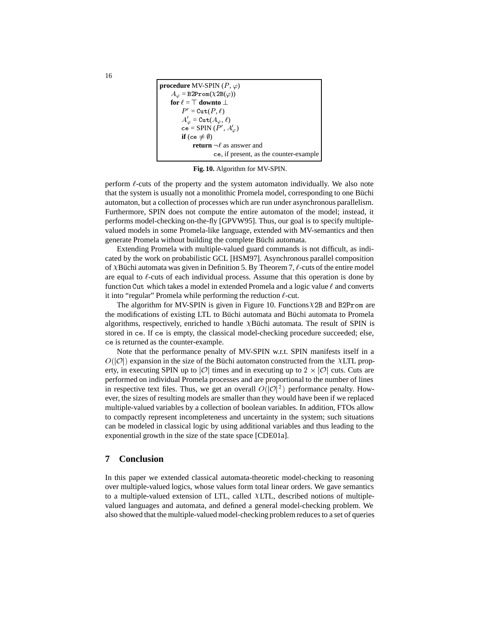**procedure** MV-SPIN  $(P, \varphi)$  $A_{\varphi} = \text{B2Prom}(X2B(\varphi))$ for  $\ell = \top$  downto  $\bot$  $P' = \mathtt{Cut}(P, \ell)$  $A'_\varphi = \mathtt{Cut}(A_\varphi, \ell)$ ce = SPIN  $(P', A'_\varphi)$ **if** (ce  $\neq \emptyset$ ) **return**  $\neg \ell$  as answer and ce, if present, as the counter-example

**Fig. 10.** Algorithm for MV-SPIN.

perform  $\ell$ -cuts of the property and the system automaton individually. We also note that the system is usually not a monolithic Promela model, corresponding to one Büchi automaton, but a collection of processes which are run under asynchronous parallelism. Furthermore, SPIN does not compute the entire automaton of the model; instead, it performs model-checking on-the-fly [GPVW95]. Thus, our goal is to specify multiplevalued models in some Promela-like language, extended with MV-semantics and then generate Promela without building the complete Büchi automata.

Extending Promela with multiple-valued guard commands is not difficult, as indicated by the work on probabilistic GCL [HSM97]. Asynchronous parallel composition of XBüchi automata was given in Definition 5. By Theorem 7,  $\ell$ -cuts of the entire model are equal to  $\ell$ -cuts of each individual process. Assume that this operation is done by function Cut which takes a model in extended Promela and a logic value  $\ell$  and converts it into "regular" Promela while performing the reduction  $\ell$ -cut.

The algorithm for MV-SPIN is given in Figure 10. Functions  $X2B$  and B2Prom are the modifications of existing LTL to Büchi automata and Büchi automata to Promela algorithms, respectively, enriched to handle XBüchi automata. The result of SPIN is stored in ce. If ce is empty, the classical model-checking procedure succeeded; else, ce is returned as the counter-example.

Note that the performance penalty of MV-SPIN w.r.t. SPIN manifests itself in a  $O(|\mathcal{O}|)$  expansion in the size of the Büchi automaton constructed from the XLTL property, in executing SPIN up to |O| times and in executing up to  $2 \times |O|$  cuts. Cuts are performed on individual Promela processes and are proportional to the number of lines in respective text files. Thus, we get an overall  $O(|\mathcal{O}|^2)$  performance penalty. However, the sizes of resulting models are smaller than they would have been if we replaced multiple-valued variables by a collection of boolean variables. In addition, FTOs allow to compactly represent incompleteness and uncertainty in the system; such situations can be modeled in classical logic by using additional variables and thus leading to the exponential growth in the size of the state space [CDE01a].

# **7 Conclusion**

In this paper we extended classical automata-theoretic model-checking to reasoning over multiple-valued logics, whose values form total linear orders. We gave semantics to a multiple-valued extension of LTL, called  $XLTL$ , described notions of multiplevalued languages and automata, and defined a general model-checking problem. We also showed that the multiple-valued model-checking problem reduces to a set of queries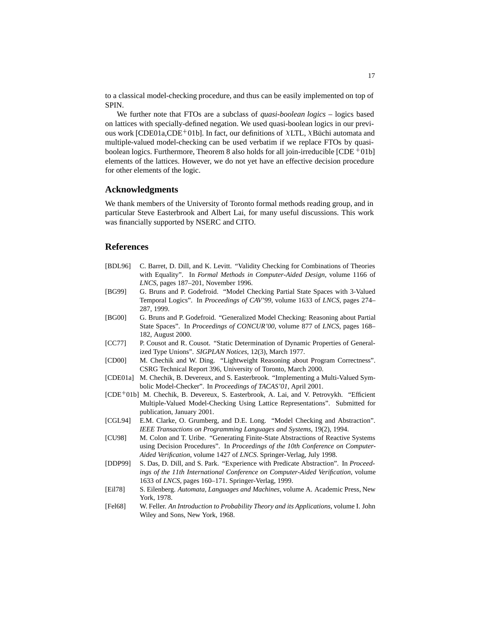to a classical model-checking procedure, and thus can be easily implemented on top of SPIN.

We further note that FTOs are a subclass of *quasi-boolean logics* – logics based on lattices with specially-defined negation. We used quasi-boolean logics in our previous work [CDE01a,CDE<sup>+</sup>01b]. In fact, our definitions of  $\chi$ LTL,  $\chi$ Büchi automata and multiple-valued model-checking can be used verbatim if we replace FTOs by quasiboolean logics. Furthermore, Theorem 8 also holds for all join-irreducible [CDE <sup>+</sup> 01b] elements of the lattices. However, we do not yet have an effective decision procedure for other elements of the logic.

# **Acknowledgments**

We thank members of the University of Toronto formal methods reading group, and in particular Steve Easterbrook and Albert Lai, for many useful discussions. This work was financially supported by NSERC and CITO.

#### **References**

- [BDL96] C. Barret, D. Dill, and K. Levitt. "Validity Checking for Combinations of Theories with Equality". In *Formal Methods in Computer-Aided Design*, volume 1166 of *LNCS*, pages 187–201, November 1996.
- [BG99] G. Bruns and P. Godefroid. "Model Checking Partial State Spaces with 3-Valued Temporal Logics". In *Proceedings of CAV'99*, volume 1633 of *LNCS*, pages 274– 287, 1999.
- [BG00] G. Bruns and P. Godefroid. "Generalized Model Checking: Reasoning about Partial State Spaces". In *Proceedings of CONCUR'00*, volume 877 of *LNCS*, pages 168– 182, August 2000.
- [CC77] P. Cousot and R. Cousot. "Static Determination of Dynamic Properties of Generalized Type Unions". *SIGPLAN Notices*, 12(3), March 1977.
- [CD00] M. Chechik and W. Ding. "Lightweight Reasoning about Program Correctness". CSRG Technical Report 396, University of Toronto, March 2000.
- [CDE01a] M. Chechik, B. Devereux, and S. Easterbrook. "Implementing a Multi-Valued Symbolic Model-Checker". In *Proceedings of TACAS'01*, April 2001.
- [CDE<sup>+</sup> 01b] M. Chechik, B. Devereux, S. Easterbrook, A. Lai, and V. Petrovykh. "Efficient Multiple-Valued Model-Checking Using Lattice Representations". Submitted for publication, January 2001.
- [CGL94] E.M. Clarke, O. Grumberg, and D.E. Long. "Model Checking and Abstraction". *IEEE Transactions on Programming Languages and Systems*, 19(2), 1994.
- [CU98] M. Colon and T. Uribe. "Generating Finite-State Abstractions of Reactive Systems using Decision Procedures". In *Proceedings of the 10th Conference on Computer-Aided Verification*, volume 1427 of *LNCS*. Springer-Verlag, July 1998.
- [DDP99] S. Das, D. Dill, and S. Park. "Experience with Predicate Abstraction". In *Proceedings of the 11th International Conference on Computer-Aided Verification*, volume 1633 of *LNCS*, pages 160–171. Springer-Verlag, 1999.
- [Eil78] S. Eilenberg. *Automata, Languages and Machines*, volume A. Academic Press, New York, 1978.
- [Fel68] W. Feller. *An Introduction to Probability Theory and its Applications*, volume I. John Wiley and Sons, New York, 1968.